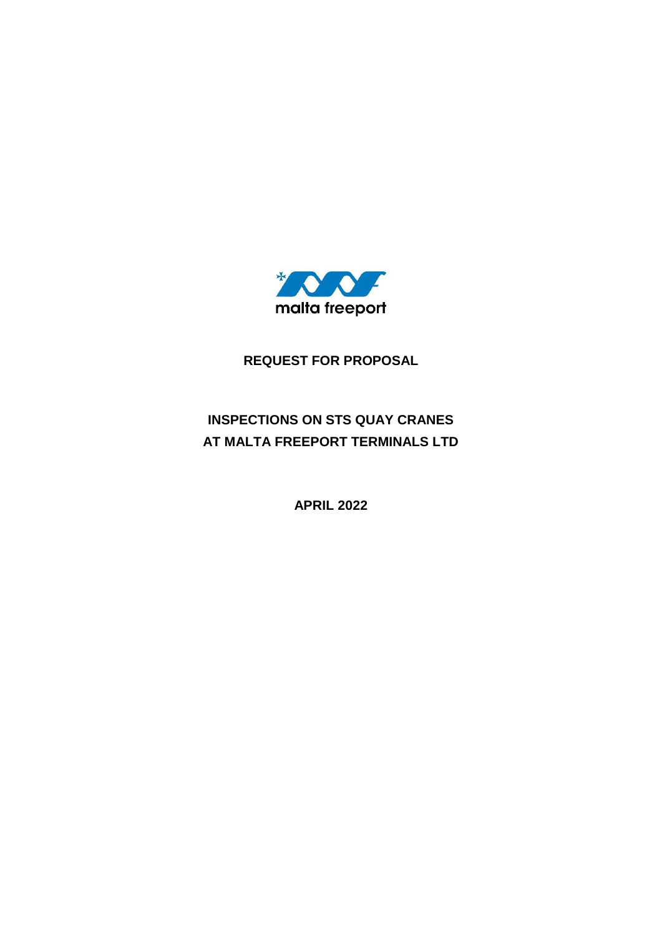

**REQUEST FOR PROPOSAL** 

# **INSPECTIONS ON STS QUAY CRANES AT MALTA FREEPORT TERMINALS LTD**

**APRIL 2022**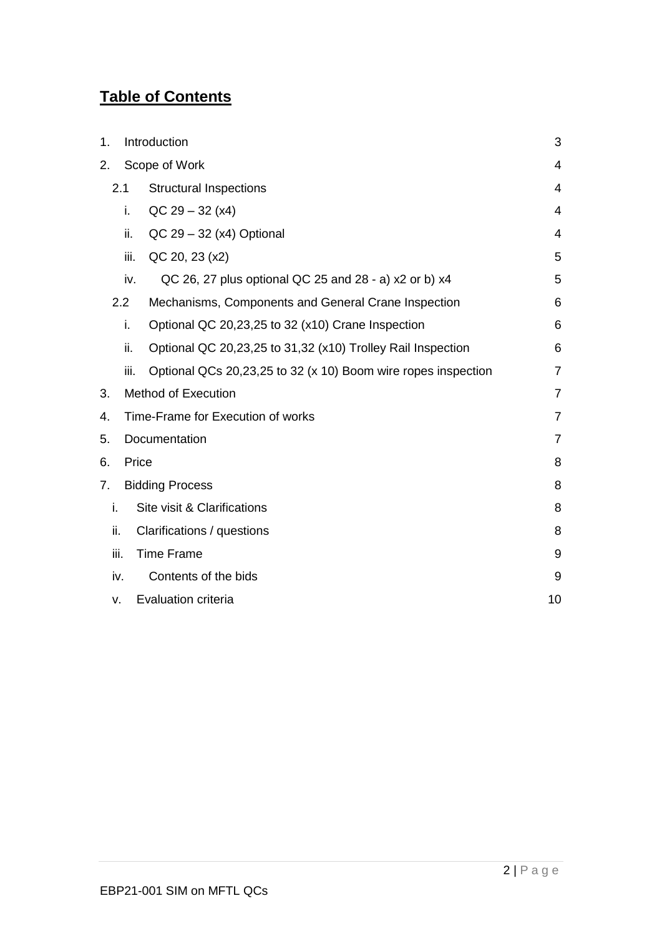# **Table of Contents**

| 1.   | Introduction                      |                                                               | 3              |
|------|-----------------------------------|---------------------------------------------------------------|----------------|
| 2.   | Scope of Work                     |                                                               | 4              |
|      | 2.1                               | <b>Structural Inspections</b>                                 | 4              |
|      | i.                                | $QC$ 29 – 32 (x4)                                             | 4              |
|      | ii.                               | $QC$ 29 – 32 (x4) Optional                                    | 4              |
|      | iii.                              | QC 20, 23 (x2)                                                | 5              |
|      | iv.                               | QC 26, 27 plus optional QC 25 and 28 - a) x2 or b) x4         | 5              |
|      | 2.2                               | Mechanisms, Components and General Crane Inspection           | 6              |
|      | i.                                | Optional QC 20,23,25 to 32 (x10) Crane Inspection             | 6              |
|      | ii.                               | Optional QC 20,23,25 to 31,32 (x10) Trolley Rail Inspection   | 6              |
|      | iii.                              | Optional QCs 20,23,25 to 32 (x 10) Boom wire ropes inspection | 7              |
| 3.   | <b>Method of Execution</b>        |                                                               | $\overline{7}$ |
| 4.   | Time-Frame for Execution of works |                                                               | $\overline{7}$ |
| 5.   | Documentation                     |                                                               | $\overline{7}$ |
| 6.   | Price                             |                                                               | 8              |
| 7.   | <b>Bidding Process</b>            |                                                               | 8              |
| i.   |                                   | Site visit & Clarifications                                   | 8              |
| ii.  |                                   | Clarifications / questions                                    | 8              |
| iii. |                                   | <b>Time Frame</b>                                             | 9              |
|      | iv.                               | Contents of the bids                                          | 9              |
| v.   |                                   | <b>Evaluation criteria</b>                                    | 10             |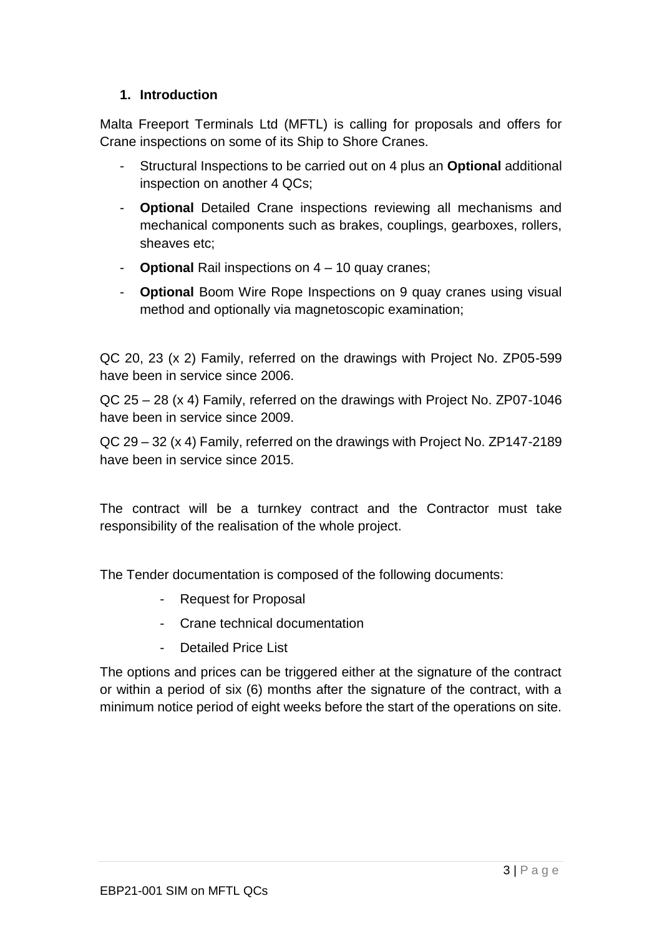#### <span id="page-2-0"></span>**1. Introduction**

Malta Freeport Terminals Ltd (MFTL) is calling for proposals and offers for Crane inspections on some of its Ship to Shore Cranes.

- Structural Inspections to be carried out on 4 plus an **Optional** additional inspection on another 4 QCs;
- **Optional** Detailed Crane inspections reviewing all mechanisms and mechanical components such as brakes, couplings, gearboxes, rollers, sheaves etc;
- **Optional** Rail inspections on 4 10 quay cranes;
- **Optional** Boom Wire Rope Inspections on 9 quay cranes using visual method and optionally via magnetoscopic examination;

QC 20, 23 (x 2) Family, referred on the drawings with Project No. ZP05-599 have been in service since 2006.

QC 25 – 28 (x 4) Family, referred on the drawings with Project No. ZP07-1046 have been in service since 2009.

QC 29 – 32 (x 4) Family, referred on the drawings with Project No. ZP147-2189 have been in service since 2015.

The contract will be a turnkey contract and the Contractor must take responsibility of the realisation of the whole project.

The Tender documentation is composed of the following documents:

- Request for Proposal
- Crane technical documentation
- Detailed Price List

The options and prices can be triggered either at the signature of the contract or within a period of six (6) months after the signature of the contract, with a minimum notice period of eight weeks before the start of the operations on site.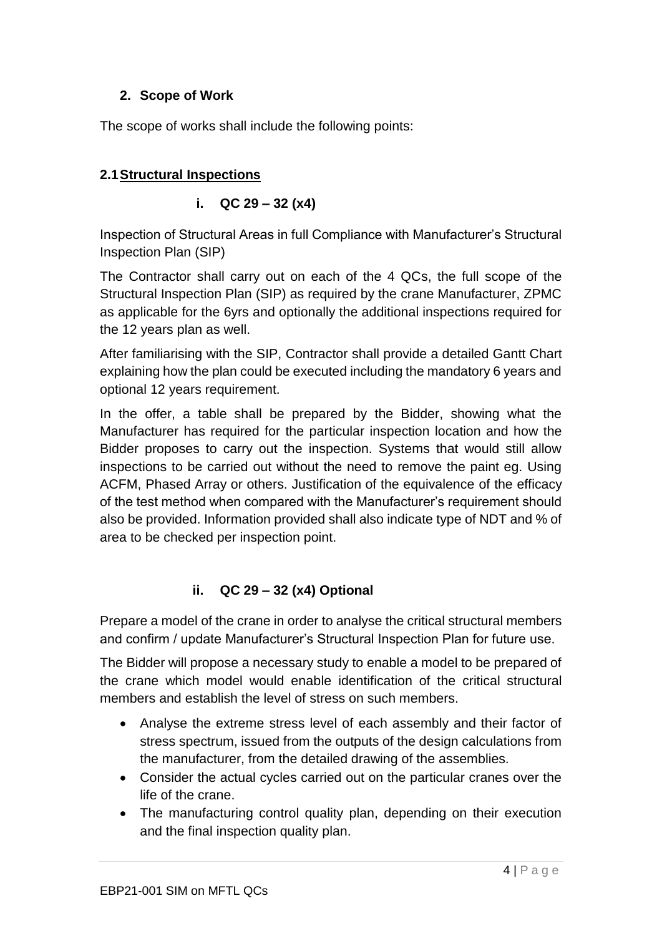## <span id="page-3-0"></span>**2. Scope of Work**

The scope of works shall include the following points:

## <span id="page-3-2"></span><span id="page-3-1"></span>**2.1Structural Inspections**

## **i. QC 29 – 32 (x4)**

Inspection of Structural Areas in full Compliance with Manufacturer's Structural Inspection Plan (SIP)

The Contractor shall carry out on each of the 4 QCs, the full scope of the Structural Inspection Plan (SIP) as required by the crane Manufacturer, ZPMC as applicable for the 6yrs and optionally the additional inspections required for the 12 years plan as well.

After familiarising with the SIP, Contractor shall provide a detailed Gantt Chart explaining how the plan could be executed including the mandatory 6 years and optional 12 years requirement.

In the offer, a table shall be prepared by the Bidder, showing what the Manufacturer has required for the particular inspection location and how the Bidder proposes to carry out the inspection. Systems that would still allow inspections to be carried out without the need to remove the paint eg. Using ACFM, Phased Array or others. Justification of the equivalence of the efficacy of the test method when compared with the Manufacturer's requirement should also be provided. Information provided shall also indicate type of NDT and % of area to be checked per inspection point.

## **ii. QC 29 – 32 (x4) Optional**

<span id="page-3-3"></span>Prepare a model of the crane in order to analyse the critical structural members and confirm / update Manufacturer's Structural Inspection Plan for future use.

The Bidder will propose a necessary study to enable a model to be prepared of the crane which model would enable identification of the critical structural members and establish the level of stress on such members.

- Analyse the extreme stress level of each assembly and their factor of stress spectrum, issued from the outputs of the design calculations from the manufacturer, from the detailed drawing of the assemblies.
- Consider the actual cycles carried out on the particular cranes over the life of the crane.
- The manufacturing control quality plan, depending on their execution and the final inspection quality plan.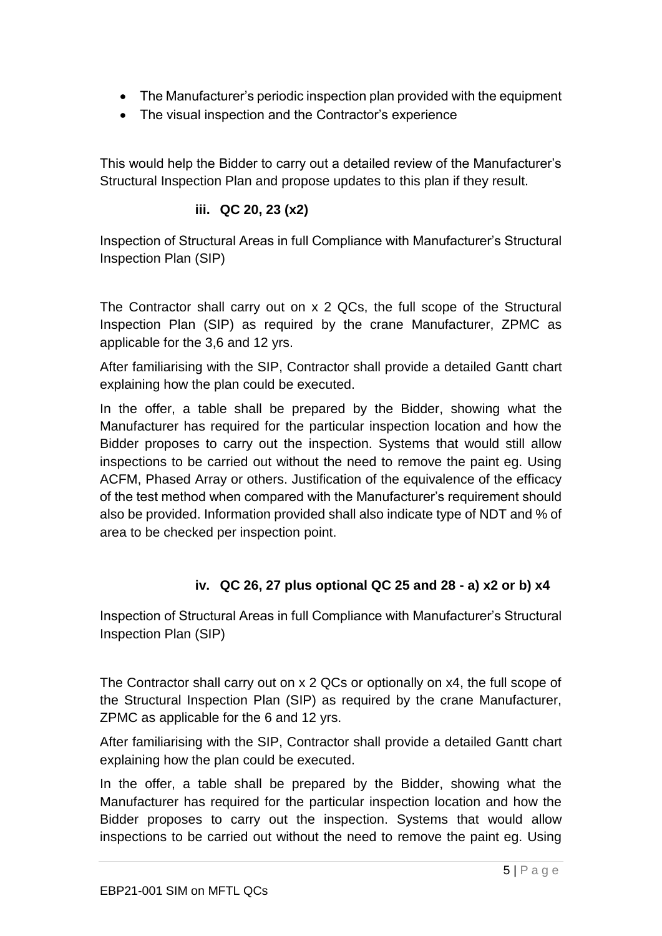- The Manufacturer's periodic inspection plan provided with the equipment
- The visual inspection and the Contractor's experience

This would help the Bidder to carry out a detailed review of the Manufacturer's Structural Inspection Plan and propose updates to this plan if they result.

#### **iii. QC 20, 23 (x2)**

<span id="page-4-0"></span>Inspection of Structural Areas in full Compliance with Manufacturer's Structural Inspection Plan (SIP)

The Contractor shall carry out on x 2 QCs, the full scope of the Structural Inspection Plan (SIP) as required by the crane Manufacturer, ZPMC as applicable for the 3,6 and 12 yrs.

After familiarising with the SIP, Contractor shall provide a detailed Gantt chart explaining how the plan could be executed.

In the offer, a table shall be prepared by the Bidder, showing what the Manufacturer has required for the particular inspection location and how the Bidder proposes to carry out the inspection. Systems that would still allow inspections to be carried out without the need to remove the paint eg. Using ACFM, Phased Array or others. Justification of the equivalence of the efficacy of the test method when compared with the Manufacturer's requirement should also be provided. Information provided shall also indicate type of NDT and % of area to be checked per inspection point.

## **iv. QC 26, 27 plus optional QC 25 and 28 - a) x2 or b) x4**

<span id="page-4-1"></span>Inspection of Structural Areas in full Compliance with Manufacturer's Structural Inspection Plan (SIP)

The Contractor shall carry out on x 2 QCs or optionally on x4, the full scope of the Structural Inspection Plan (SIP) as required by the crane Manufacturer, ZPMC as applicable for the 6 and 12 yrs.

After familiarising with the SIP, Contractor shall provide a detailed Gantt chart explaining how the plan could be executed.

In the offer, a table shall be prepared by the Bidder, showing what the Manufacturer has required for the particular inspection location and how the Bidder proposes to carry out the inspection. Systems that would allow inspections to be carried out without the need to remove the paint eg. Using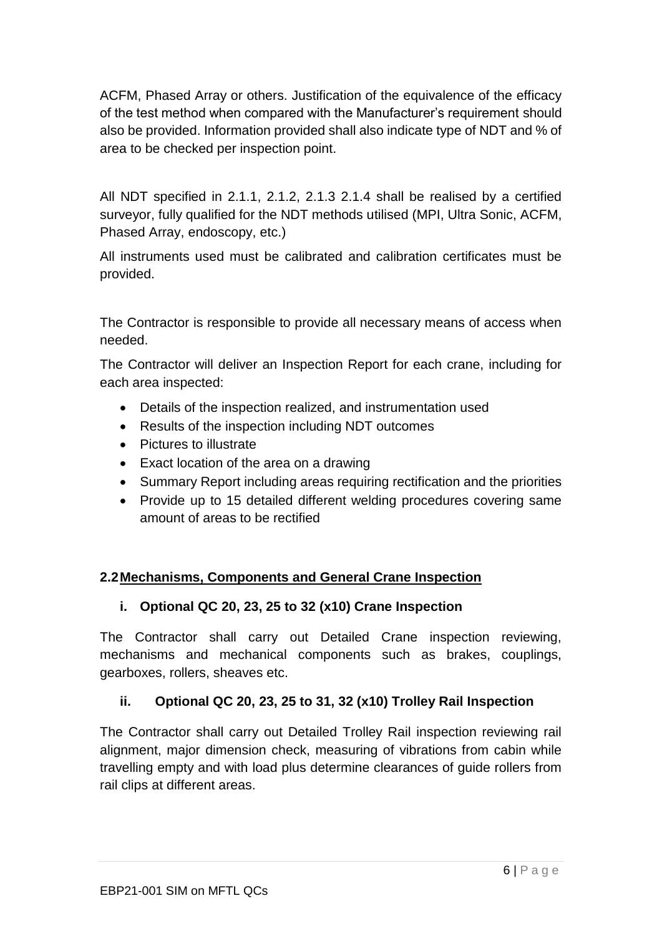ACFM, Phased Array or others. Justification of the equivalence of the efficacy of the test method when compared with the Manufacturer's requirement should also be provided. Information provided shall also indicate type of NDT and % of area to be checked per inspection point.

All NDT specified in 2.1.1, 2.1.2, 2.1.3 2.1.4 shall be realised by a certified surveyor, fully qualified for the NDT methods utilised (MPI, Ultra Sonic, ACFM, Phased Array, endoscopy, etc.)

All instruments used must be calibrated and calibration certificates must be provided.

The Contractor is responsible to provide all necessary means of access when needed.

The Contractor will deliver an Inspection Report for each crane, including for each area inspected:

- Details of the inspection realized, and instrumentation used
- Results of the inspection including NDT outcomes
- Pictures to illustrate
- Exact location of the area on a drawing
- Summary Report including areas requiring rectification and the priorities
- Provide up to 15 detailed different welding procedures covering same amount of areas to be rectified

#### <span id="page-5-0"></span>**2.2Mechanisms, Components and General Crane Inspection**

#### <span id="page-5-1"></span>**i. Optional QC 20, 23, 25 to 32 (x10) Crane Inspection**

The Contractor shall carry out Detailed Crane inspection reviewing, mechanisms and mechanical components such as brakes, couplings, gearboxes, rollers, sheaves etc.

## <span id="page-5-2"></span>**ii. Optional QC 20, 23, 25 to 31, 32 (x10) Trolley Rail Inspection**

The Contractor shall carry out Detailed Trolley Rail inspection reviewing rail alignment, major dimension check, measuring of vibrations from cabin while travelling empty and with load plus determine clearances of guide rollers from rail clips at different areas.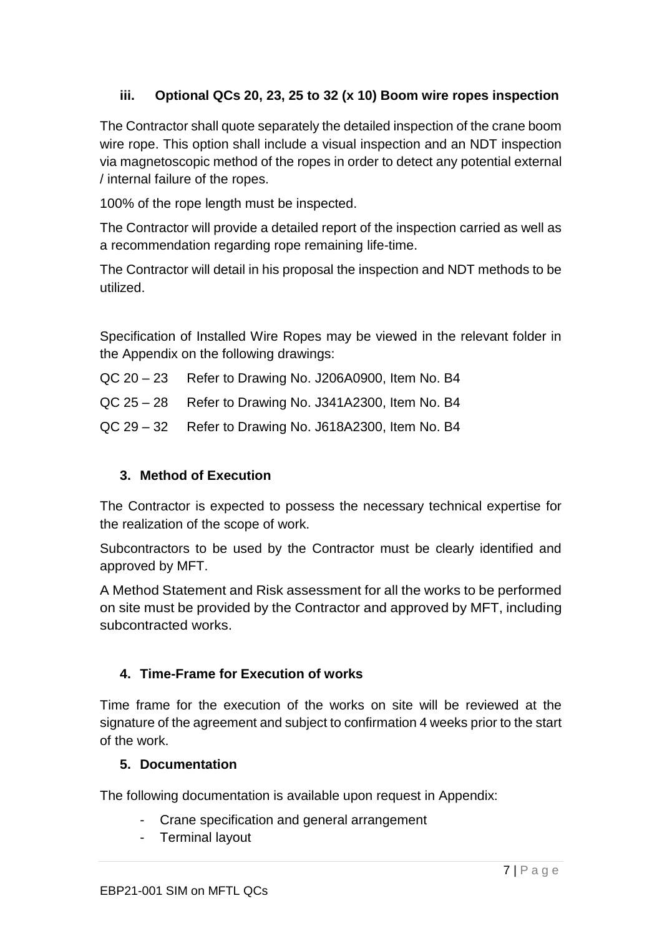## <span id="page-6-0"></span>**iii. Optional QCs 20, 23, 25 to 32 (x 10) Boom wire ropes inspection**

The Contractor shall quote separately the detailed inspection of the crane boom wire rope. This option shall include a visual inspection and an NDT inspection via magnetoscopic method of the ropes in order to detect any potential external / internal failure of the ropes.

100% of the rope length must be inspected.

The Contractor will provide a detailed report of the inspection carried as well as a recommendation regarding rope remaining life-time.

The Contractor will detail in his proposal the inspection and NDT methods to be utilized.

Specification of Installed Wire Ropes may be viewed in the relevant folder in the Appendix on the following drawings:

- QC 20 23Refer to Drawing No. J206A0900, Item No. B4
- QC 25 28Refer to Drawing No. J341A2300, Item No. B4
- QC 29 32Refer to Drawing No. J618A2300, Item No. B4

## <span id="page-6-1"></span>**3. Method of Execution**

The Contractor is expected to possess the necessary technical expertise for the realization of the scope of work.

Subcontractors to be used by the Contractor must be clearly identified and approved by MFT.

A Method Statement and Risk assessment for all the works to be performed on site must be provided by the Contractor and approved by MFT, including subcontracted works.

#### <span id="page-6-2"></span>**4. Time-Frame for Execution of works**

Time frame for the execution of the works on site will be reviewed at the signature of the agreement and subject to confirmation 4 weeks prior to the start of the work.

#### <span id="page-6-3"></span>**5. Documentation**

The following documentation is available upon request in Appendix:

- Crane specification and general arrangement
- Terminal layout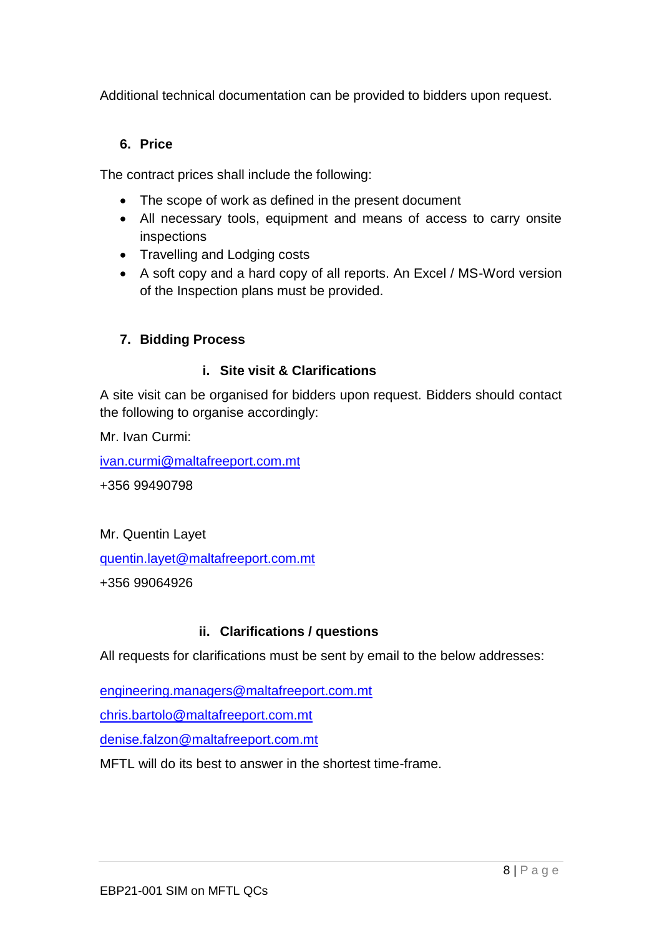Additional technical documentation can be provided to bidders upon request.

### <span id="page-7-0"></span>**6. Price**

The contract prices shall include the following:

- The scope of work as defined in the present document
- All necessary tools, equipment and means of access to carry onsite inspections
- Travelling and Lodging costs
- A soft copy and a hard copy of all reports. An Excel / MS-Word version of the Inspection plans must be provided.

## <span id="page-7-1"></span>**7. Bidding Process**

### **i. Site visit & Clarifications**

<span id="page-7-2"></span>A site visit can be organised for bidders upon request. Bidders should contact the following to organise accordingly:

Mr. Ivan Curmi:

[ivan.curmi@maltafreeport.com.mt](mailto:ivan.curmi@maltafreeport.com.mt)

+356 99490798

Mr. Quentin Layet

[quentin.layet@maltafreeport.com.mt](mailto:quentin.layet@maltafreeport.com.mt)

+356 99064926

## **ii. Clarifications / questions**

<span id="page-7-3"></span>All requests for clarifications must be sent by email to the below addresses:

[engineering.managers@maltafreeport.com.mt](mailto:engineering.managers@maltafreeport.com.mt)

[chris.bartolo@maltafreeport.com.mt](mailto:Jurgen.darmanin@maltafreeport.com.mt)

[denise.falzon@maltafreeport.com.mt](mailto:denise.falzon@maltafreeport.com.mt)

MFTL will do its best to answer in the shortest time-frame.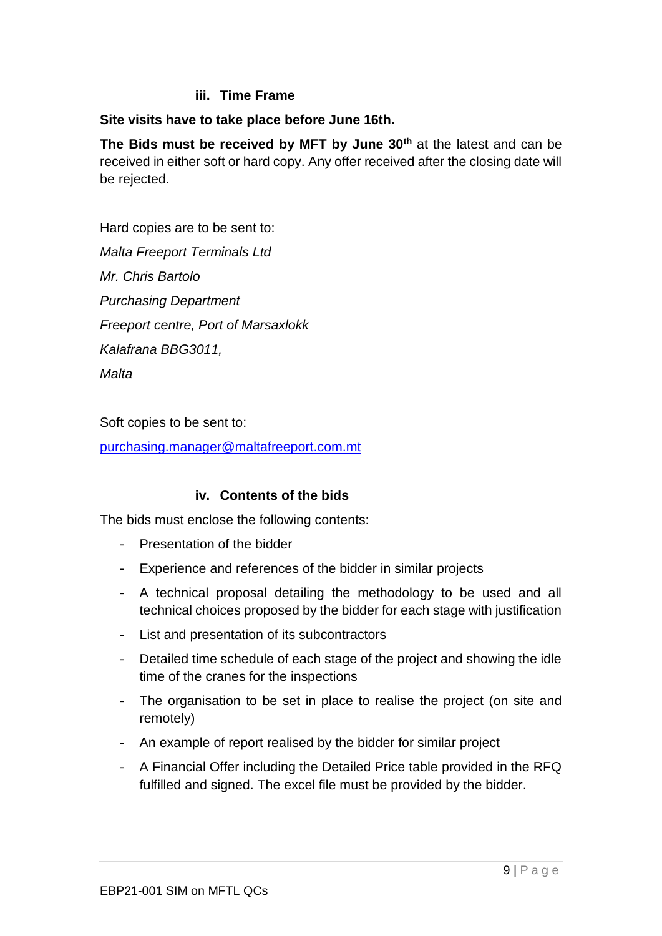#### **iii. Time Frame**

#### <span id="page-8-0"></span>**Site visits have to take place before June 16th.**

**The Bids must be received by MFT by June 30th** at the latest and can be received in either soft or hard copy. Any offer received after the closing date will be rejected.

Hard copies are to be sent to: *Malta Freeport Terminals Ltd Mr. Chris Bartolo Purchasing Department Freeport centre, Port of Marsaxlokk Kalafrana BBG3011, Malta*

Soft copies to be sent to:

[purchasing.manager@maltafreeport.com.mt](mailto:purchasing.manager@maltafreeport.com.mt)

#### **iv. Contents of the bids**

<span id="page-8-1"></span>The bids must enclose the following contents:

- Presentation of the bidder
- Experience and references of the bidder in similar projects
- A technical proposal detailing the methodology to be used and all technical choices proposed by the bidder for each stage with justification
- List and presentation of its subcontractors
- Detailed time schedule of each stage of the project and showing the idle time of the cranes for the inspections
- The organisation to be set in place to realise the project (on site and remotely)
- An example of report realised by the bidder for similar project
- A Financial Offer including the Detailed Price table provided in the RFQ fulfilled and signed. The excel file must be provided by the bidder.